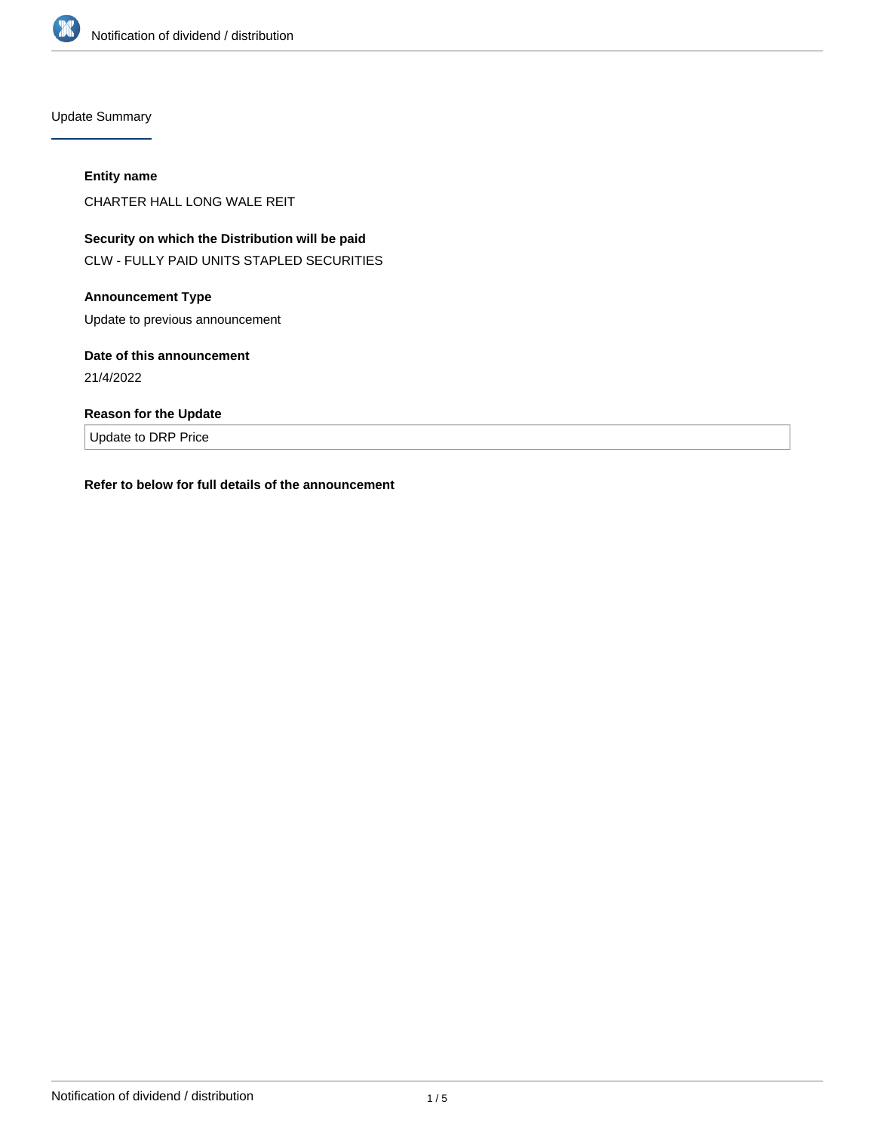

Update Summary

## **Entity name**

CHARTER HALL LONG WALE REIT

# **Security on which the Distribution will be paid** CLW - FULLY PAID UNITS STAPLED SECURITIES

# **Announcement Type**

Update to previous announcement

## **Date of this announcement**

21/4/2022

# **Reason for the Update**

Update to DRP Price

# **Refer to below for full details of the announcement**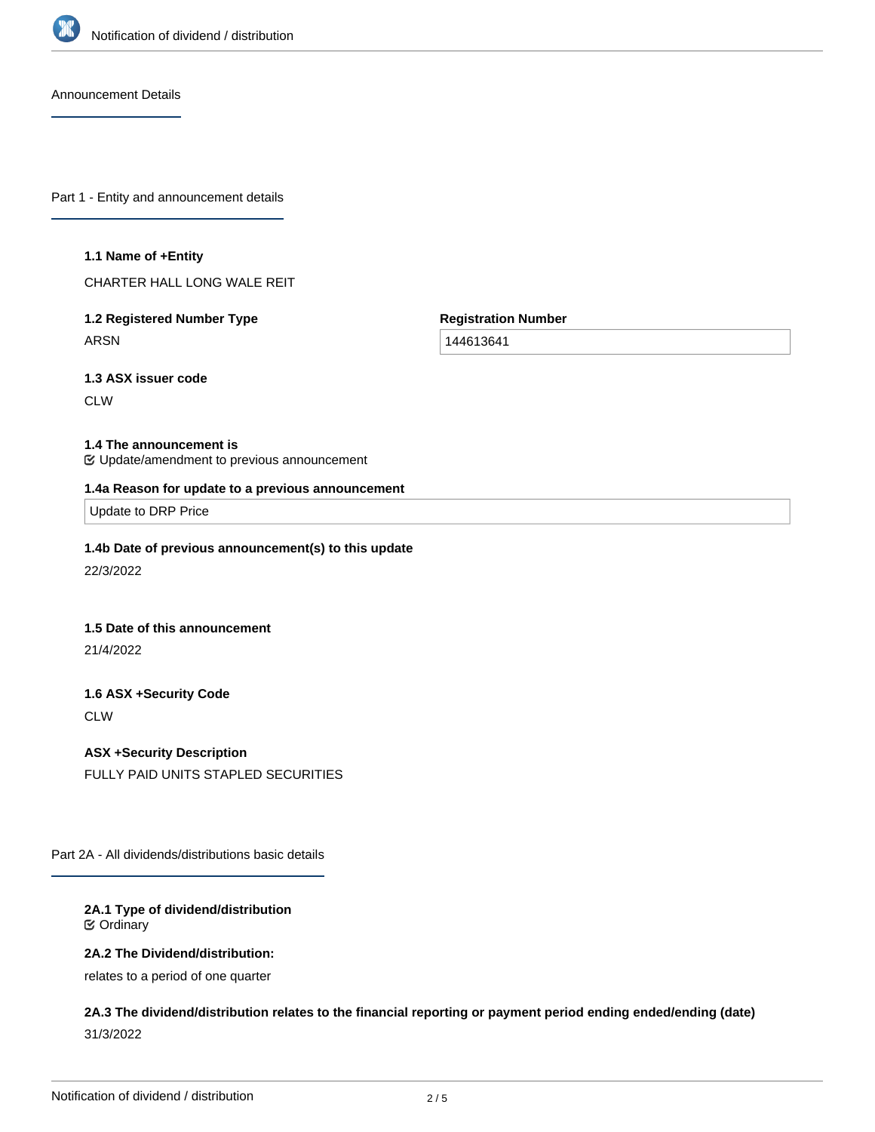

Announcement Details

Part 1 - Entity and announcement details

#### **1.1 Name of +Entity**

CHARTER HALL LONG WALE REIT

# **1.2 Registered Number Type** ARSN

**Registration Number**

144613641

**1.3 ASX issuer code**

**CLW** 

## **1.4 The announcement is**

Update/amendment to previous announcement

#### **1.4a Reason for update to a previous announcement**

Update to DRP Price

## **1.4b Date of previous announcement(s) to this update**

22/3/2022

## **1.5 Date of this announcement**

21/4/2022

# **1.6 ASX +Security Code**

**CLW** 

# **ASX +Security Description**

FULLY PAID UNITS STAPLED SECURITIES

Part 2A - All dividends/distributions basic details

## **2A.1 Type of dividend/distribution** Ordinary

## **2A.2 The Dividend/distribution:**

relates to a period of one quarter

**2A.3 The dividend/distribution relates to the financial reporting or payment period ending ended/ending (date)** 31/3/2022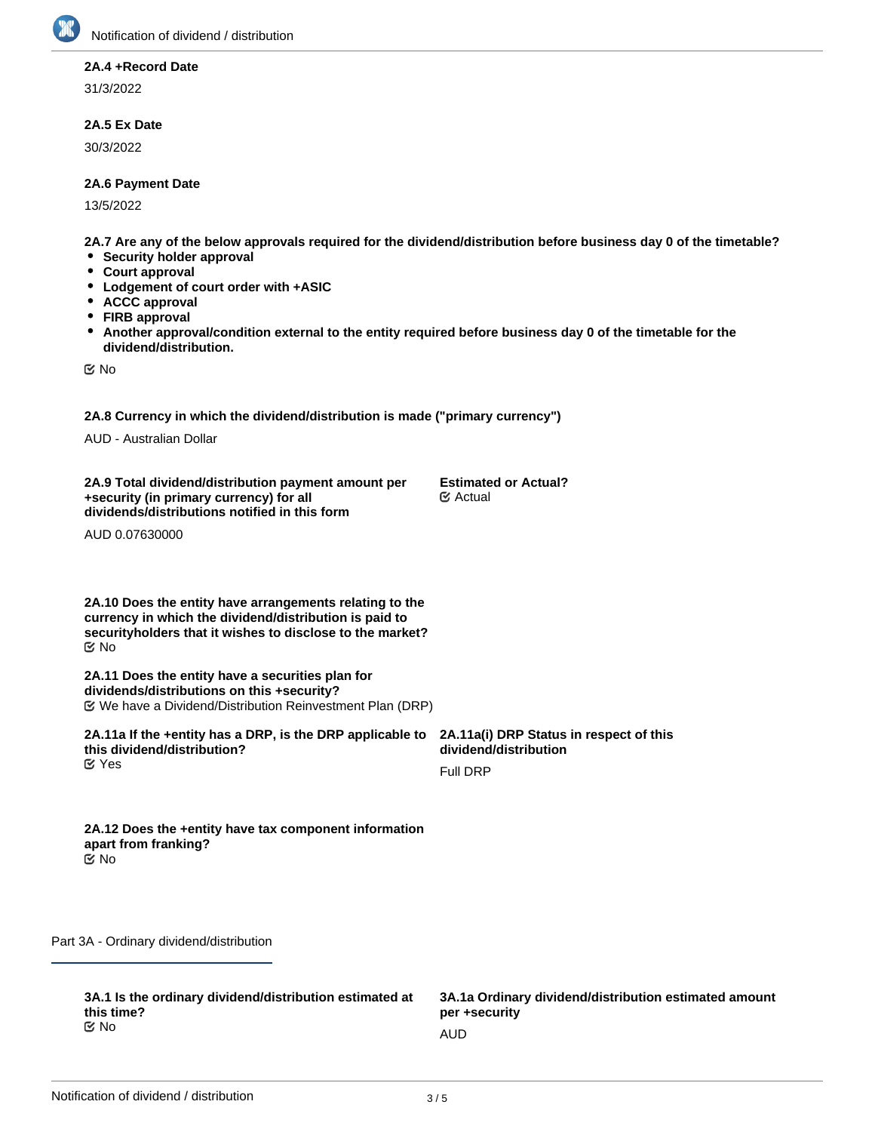

## **2A.4 +Record Date**

31/3/2022

## **2A.5 Ex Date**

30/3/2022

## **2A.6 Payment Date**

13/5/2022

**2A.7 Are any of the below approvals required for the dividend/distribution before business day 0 of the timetable?**

- **•** Security holder approval
- **Court approval**
- **Lodgement of court order with +ASIC**
- **ACCC approval**  $\bullet$
- **FIRB approval**
- $\bullet$ **Another approval/condition external to the entity required before business day 0 of the timetable for the dividend/distribution.**

No

**2A.8 Currency in which the dividend/distribution is made ("primary currency")**

AUD - Australian Dollar

**2A.9 Total dividend/distribution payment amount per +security (in primary currency) for all dividends/distributions notified in this form**

**Estimated or Actual?** Actual

AUD 0.07630000

**2A.10 Does the entity have arrangements relating to the currency in which the dividend/distribution is paid to securityholders that it wishes to disclose to the market?** No

**2A.11 Does the entity have a securities plan for dividends/distributions on this +security?** We have a Dividend/Distribution Reinvestment Plan (DRP)

**2A.11a If the +entity has a DRP, is the DRP applicable to this dividend/distribution? 2A.11a(i) DRP Status in respect of this dividend/distribution** Full DRP **K** Yes

| 2A.12 Does the +entity have tax component information |
|-------------------------------------------------------|
| apart from franking?                                  |
| ା ⊠                                                   |

Part 3A - Ordinary dividend/distribution

**3A.1 Is the ordinary dividend/distribution estimated at this time?** No and the contract of the contract of the contract of the contract of the contract of the contract of the contract of the contract of the contract of the contract of the contract of the contract of the contract of the con

**3A.1a Ordinary dividend/distribution estimated amount per +security**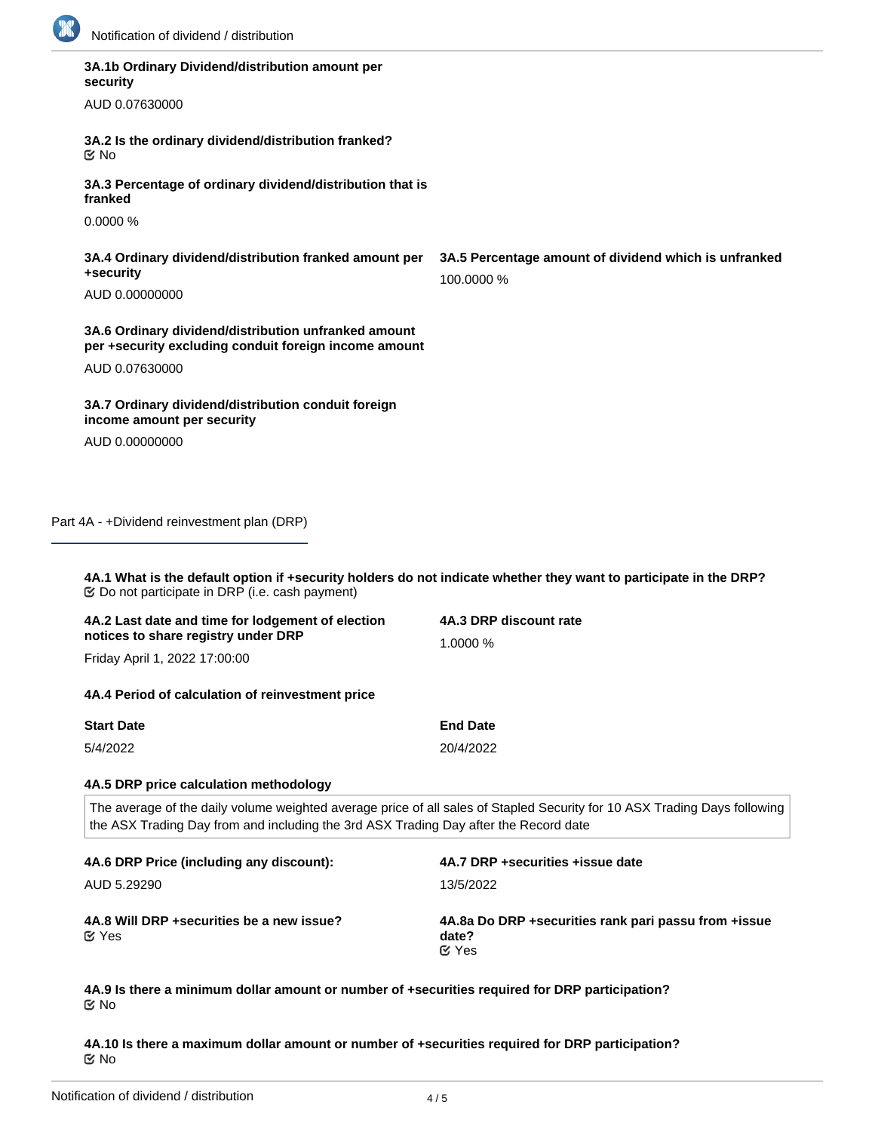

|  | <b>NOUNCATION OF GIVIDENCY CISTIDUTION</b>                                                                                                                                                                        |                                                                     |  |
|--|-------------------------------------------------------------------------------------------------------------------------------------------------------------------------------------------------------------------|---------------------------------------------------------------------|--|
|  | 3A.1b Ordinary Dividend/distribution amount per<br>security                                                                                                                                                       |                                                                     |  |
|  | AUD 0.07630000                                                                                                                                                                                                    |                                                                     |  |
|  | 3A.2 Is the ordinary dividend/distribution franked?<br><b>Mo</b>                                                                                                                                                  |                                                                     |  |
|  | 3A.3 Percentage of ordinary dividend/distribution that is<br>franked                                                                                                                                              |                                                                     |  |
|  | 0.0000 %                                                                                                                                                                                                          |                                                                     |  |
|  | 3A.4 Ordinary dividend/distribution franked amount per<br>+security                                                                                                                                               | 3A.5 Percentage amount of dividend which is unfranked<br>100.0000 % |  |
|  | AUD 0.00000000                                                                                                                                                                                                    |                                                                     |  |
|  | 3A.6 Ordinary dividend/distribution unfranked amount<br>per +security excluding conduit foreign income amount                                                                                                     |                                                                     |  |
|  | AUD 0.07630000                                                                                                                                                                                                    |                                                                     |  |
|  | 3A.7 Ordinary dividend/distribution conduit foreign<br>income amount per security                                                                                                                                 |                                                                     |  |
|  | AUD 0.00000000                                                                                                                                                                                                    |                                                                     |  |
|  | Part 4A - +Dividend reinvestment plan (DRP)                                                                                                                                                                       |                                                                     |  |
|  | 4A.1 What is the default option if +security holders do not indicate whether they want to participate in the DRP?<br><b> ©</b> Do not participate in DRP (i.e. cash payment)                                      |                                                                     |  |
|  | 4A.2 Last date and time for lodgement of election<br>notices to share registry under DRP                                                                                                                          | 4A.3 DRP discount rate                                              |  |
|  | Friday April 1, 2022 17:00:00                                                                                                                                                                                     | 1.0000 %                                                            |  |
|  | 4A.4 Period of calculation of reinvestment price                                                                                                                                                                  |                                                                     |  |
|  | <b>Start Date</b>                                                                                                                                                                                                 | <b>End Date</b>                                                     |  |
|  | 5/4/2022                                                                                                                                                                                                          | 20/4/2022                                                           |  |
|  | 4A.5 DRP price calculation methodology                                                                                                                                                                            |                                                                     |  |
|  | The average of the daily volume weighted average price of all sales of Stapled Security for 10 ASX Trading Days following<br>the ASX Trading Day from and including the 3rd ASX Trading Day after the Record date |                                                                     |  |
|  |                                                                                                                                                                                                                   |                                                                     |  |

| 4A.6 DRP Price (including any discount):                   | 4A.7 DRP + securities + issue date                                              |
|------------------------------------------------------------|---------------------------------------------------------------------------------|
| AUD 5.29290                                                | 13/5/2022                                                                       |
| 4A.8 Will DRP + securities be a new issue?<br>$\alpha$ Yes | 4A.8a Do DRP + securities rank pari passu from + issue<br>date?<br>$\alpha$ Yes |

**4A.9 Is there a minimum dollar amount or number of +securities required for DRP participation?** No

**4A.10 Is there a maximum dollar amount or number of +securities required for DRP participation?** No